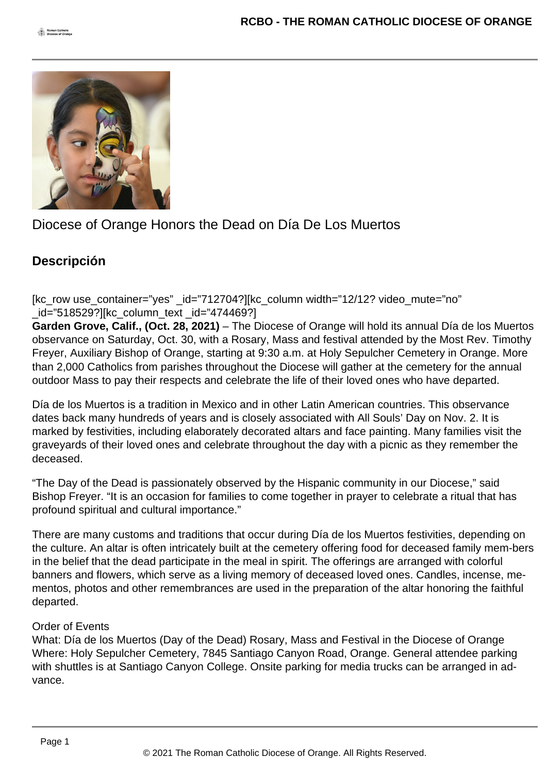

Diocese of Orange Honors the Dead on Día De Los Muertos

## **Descripción**

[kc\_row use\_container="yes" \_id="712704?][kc\_column width="12/12? video\_mute="no" \_id="518529?][kc\_column\_text \_id="474469?]

**Garden Grove, Calif., (Oct. 28, 2021)** – The Diocese of Orange will hold its annual Día de los Muertos observance on Saturday, Oct. 30, with a Rosary, Mass and festival attended by the Most Rev. Timothy Freyer, Auxiliary Bishop of Orange, starting at 9:30 a.m. at Holy Sepulcher Cemetery in Orange. More than 2,000 Catholics from parishes throughout the Diocese will gather at the cemetery for the annual outdoor Mass to pay their respects and celebrate the life of their loved ones who have departed.

Día de los Muertos is a tradition in Mexico and in other Latin American countries. This observance dates back many hundreds of years and is closely associated with All Souls' Day on Nov. 2. It is marked by festivities, including elaborately decorated altars and face painting. Many families visit the graveyards of their loved ones and celebrate throughout the day with a picnic as they remember the deceased.

"The Day of the Dead is passionately observed by the Hispanic community in our Diocese," said Bishop Freyer. "It is an occasion for families to come together in prayer to celebrate a ritual that has profound spiritual and cultural importance."

There are many customs and traditions that occur during Día de los Muertos festivities, depending on the culture. An altar is often intricately built at the cemetery offering food for deceased family mem-bers in the belief that the dead participate in the meal in spirit. The offerings are arranged with colorful banners and flowers, which serve as a living memory of deceased loved ones. Candles, incense, mementos, photos and other remembrances are used in the preparation of the altar honoring the faithful departed.

## Order of Events

What: Día de los Muertos (Day of the Dead) Rosary, Mass and Festival in the Diocese of Orange Where: Holy Sepulcher Cemetery, 7845 Santiago Canyon Road, Orange. General attendee parking with shuttles is at Santiago Canyon College. Onsite parking for media trucks can be arranged in advance.